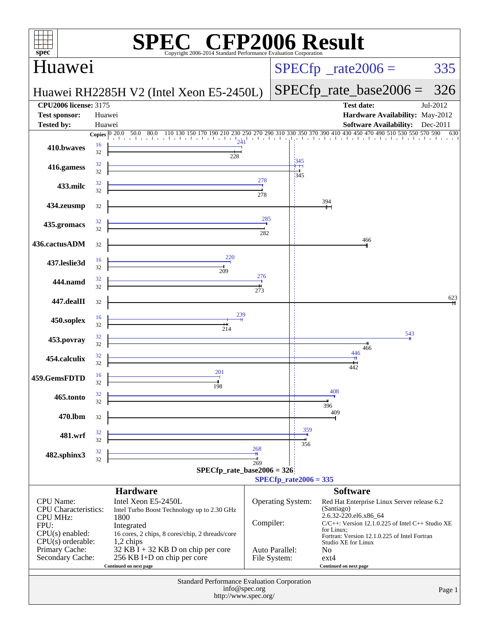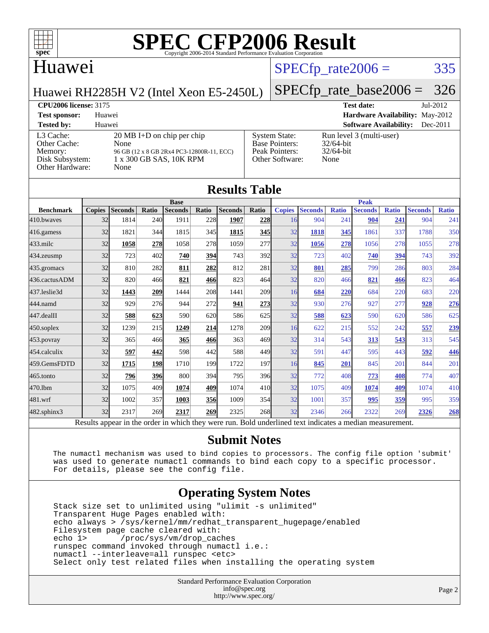

#### Huawei

### $SPECTp\_rate2006 = 335$

Huawei RH2285H V2 (Intel Xeon E5-2450L)

## [SPECfp\\_rate\\_base2006 =](http://www.spec.org/auto/cpu2006/Docs/result-fields.html#SPECfpratebase2006) 326

#### **[CPU2006 license:](http://www.spec.org/auto/cpu2006/Docs/result-fields.html#CPU2006license)** 3175 **[Test date:](http://www.spec.org/auto/cpu2006/Docs/result-fields.html#Testdate)** Jul-2012

**[Test sponsor:](http://www.spec.org/auto/cpu2006/Docs/result-fields.html#Testsponsor)** Huawei **[Hardware Availability:](http://www.spec.org/auto/cpu2006/Docs/result-fields.html#HardwareAvailability)** May-2012 **[Tested by:](http://www.spec.org/auto/cpu2006/Docs/result-fields.html#Testedby)** Huawei **[Software Availability:](http://www.spec.org/auto/cpu2006/Docs/result-fields.html#SoftwareAvailability)** Dec-2011 [L3 Cache:](http://www.spec.org/auto/cpu2006/Docs/result-fields.html#L3Cache) 20 MB I+D on chip per chip<br>Other Cache: None [Other Cache:](http://www.spec.org/auto/cpu2006/Docs/result-fields.html#OtherCache) [Memory:](http://www.spec.org/auto/cpu2006/Docs/result-fields.html#Memory) 96 GB (12 x 8 GB 2Rx4 PC3-12800R-11, ECC) [Disk Subsystem:](http://www.spec.org/auto/cpu2006/Docs/result-fields.html#DiskSubsystem) 1 x 300 GB SAS, 10K RPM [Other Hardware:](http://www.spec.org/auto/cpu2006/Docs/result-fields.html#OtherHardware) None

| <b>System State:</b>  |  |
|-----------------------|--|
| <b>Base Pointers:</b> |  |
| Peak Pointers:        |  |
| Other Software:       |  |
|                       |  |

Run level 3 (multi-user) 32/64-bit 32/64-bit None.

| <b>Results Table</b> |               |                                                                                                          |       |                |            |                |              |               |                |              |                |              |                |              |
|----------------------|---------------|----------------------------------------------------------------------------------------------------------|-------|----------------|------------|----------------|--------------|---------------|----------------|--------------|----------------|--------------|----------------|--------------|
|                      | <b>Base</b>   |                                                                                                          |       |                |            |                | <b>Peak</b>  |               |                |              |                |              |                |              |
| <b>Benchmark</b>     | <b>Copies</b> | <b>Seconds</b>                                                                                           | Ratio | <b>Seconds</b> | Ratio      | <b>Seconds</b> | <b>Ratio</b> | <b>Copies</b> | <b>Seconds</b> | <b>Ratio</b> | <b>Seconds</b> | <b>Ratio</b> | <b>Seconds</b> | <b>Ratio</b> |
| 410.bwayes           | 32            | 1814                                                                                                     | 240   | 1911           | 228        | 1907           | 228          | 16            | 904            | 241          | 904            | 241          | 904            | 241          |
| 416.gamess           | 32            | 1821                                                                                                     | 344   | 1815           | 345        | 1815           | <u>345</u>   | 32            | 1818           | 345          | 1861           | 337          | 1788           | 350          |
| $433$ .milc          | 32            | 1058                                                                                                     | 278   | 1058           | 278        | 1059           | 277          | 32            | 1056           | 278          | 1056           | 278          | 1055           | 278          |
| $434$ . zeusmp       | 32            | 723                                                                                                      | 402   | 740            | 394        | 743            | 392          | 32            | 723            | 402          | 740            | 394          | 743            | 392          |
| 435.gromacs          | 32            | 810                                                                                                      | 282   | 811            | 282        | 812            | 281          | 32            | 801            | 285          | 799            | 286          | 803            | 284          |
| 436.cactusADM        | 32            | 820                                                                                                      | 466   | 821            | 466        | 823            | 464          | 32            | 820            | 466          | 821            | 466          | 823            | 464          |
| 437.leslie3d         | 32            | 1443                                                                                                     | 209   | 1444           | 208        | 1441           | 209          | 16            | 684            | 220          | 684            | 220          | 683            | 220          |
| 444.namd             | 32            | 929                                                                                                      | 276   | 944            | 272        | 941            | 273          | 32            | 930            | 276          | 927            | 277          | 928            | 276          |
| 447.dealII           | 32            | 588                                                                                                      | 623   | 590            | 620        | 586            | 625          | 32            | 588            | 623          | 590            | 620          | 586            | 625          |
| $450$ .soplex        | 32            | 1239                                                                                                     | 215   | 1249           | 214        | 1278           | 209          | 16            | 622            | 215          | 552            | 242          | 557            | 239          |
| 453.povray           | 32            | 365                                                                                                      | 466   | 365            | 466        | 363            | 469          | 32            | 314            | 543          | 313            | 543          | 313            | 545          |
| 454.calculix         | 32            | 597                                                                                                      | 442   | 598            | 442        | 588            | 449          | 32            | 591            | 447          | 595            | 443          | 592            | 446          |
| 459.GemsFDTD         | 32            | 1715                                                                                                     | 198   | 1710           | 199        | 1722           | 197          | 16            | 845            | 201          | 845            | 201          | 844            | 201          |
| 465.tonto            | 32            | 796                                                                                                      | 396   | 800            | 394        | 795            | 396          | 32            | 772            | 408          | 773            | 408          | 774            | 407          |
| 470.1bm              | 32            | 1075                                                                                                     | 409   | 1074           | 409        | 1074           | 410          | 32            | 1075           | 409          | 1074           | 409          | 1074           | 410          |
| 481.wrf              | 32            | 1002                                                                                                     | 357   | 1003           | <u>356</u> | 1009           | 354          | 32            | 1001           | 357          | 995            | 359          | 995            | 359          |
| 482.sphinx3          | 32            | 2317                                                                                                     | 269   | 2317           | 269        | 2325           | 268          | 32            | 2346           | 266          | 2322           | 269          | 2326           | 268          |
|                      |               | Results appear in the order in which they were run. Bold underlined text indicates a median measurement. |       |                |            |                |              |               |                |              |                |              |                |              |

#### **[Submit Notes](http://www.spec.org/auto/cpu2006/Docs/result-fields.html#SubmitNotes)**

 The numactl mechanism was used to bind copies to processors. The config file option 'submit' was used to generate numactl commands to bind each copy to a specific processor. For details, please see the config file.

#### **[Operating System Notes](http://www.spec.org/auto/cpu2006/Docs/result-fields.html#OperatingSystemNotes)**

 Stack size set to unlimited using "ulimit -s unlimited" Transparent Huge Pages enabled with: echo always > /sys/kernel/mm/redhat\_transparent\_hugepage/enabled Filesystem page cache cleared with:<br>echo 1> /proc/sys/ym/drop cac /proc/sys/vm/drop\_caches runspec command invoked through numactl i.e.: numactl --interleave=all runspec <etc> Select only test related files when installing the operating system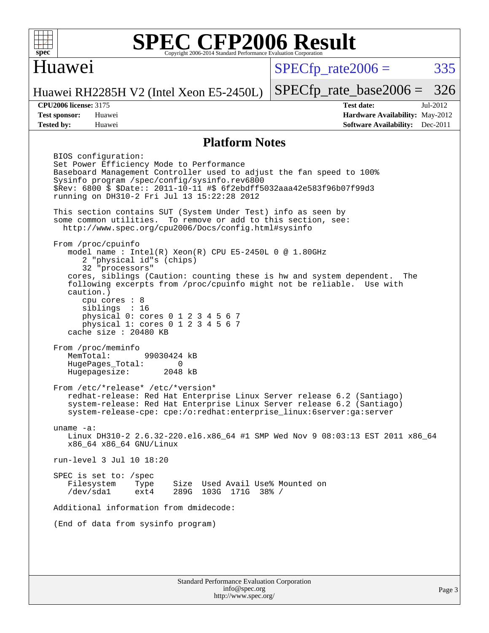

#### Huawei

 $SPECTp\_rate2006 = 335$ 

Page 3

Huawei RH2285H V2 (Intel Xeon E5-2450L)

[SPECfp\\_rate\\_base2006 =](http://www.spec.org/auto/cpu2006/Docs/result-fields.html#SPECfpratebase2006) 326

**[CPU2006 license:](http://www.spec.org/auto/cpu2006/Docs/result-fields.html#CPU2006license)** 3175 **[Test date:](http://www.spec.org/auto/cpu2006/Docs/result-fields.html#Testdate)** Jul-2012 **[Test sponsor:](http://www.spec.org/auto/cpu2006/Docs/result-fields.html#Testsponsor)** Huawei **[Hardware Availability:](http://www.spec.org/auto/cpu2006/Docs/result-fields.html#HardwareAvailability)** May-2012 **[Tested by:](http://www.spec.org/auto/cpu2006/Docs/result-fields.html#Testedby)** Huawei **[Software Availability:](http://www.spec.org/auto/cpu2006/Docs/result-fields.html#SoftwareAvailability)** Dec-2011

#### **[Platform Notes](http://www.spec.org/auto/cpu2006/Docs/result-fields.html#PlatformNotes)**

Standard Performance Evaluation Corporation BIOS configuration: Set Power Efficiency Mode to Performance Baseboard Management Controller used to adjust the fan speed to 100% Sysinfo program /spec/config/sysinfo.rev6800 \$Rev: 6800 \$ \$Date:: 2011-10-11 #\$ 6f2ebdff5032aaa42e583f96b07f99d3 running on DH310-2 Fri Jul 13 15:22:28 2012 This section contains SUT (System Under Test) info as seen by some common utilities. To remove or add to this section, see: <http://www.spec.org/cpu2006/Docs/config.html#sysinfo> From /proc/cpuinfo model name : Intel $(R)$  Xeon $(R)$  CPU E5-2450L 0 @ 1.80GHz 2 "physical id"s (chips) 32 "processors" cores, siblings (Caution: counting these is hw and system dependent. The following excerpts from /proc/cpuinfo might not be reliable. Use with caution.) cpu cores : 8 siblings : 16 physical 0: cores 0 1 2 3 4 5 6 7 physical 1: cores 0 1 2 3 4 5 6 7 cache size : 20480 KB From /proc/meminfo<br>MemTotal: 99030424 kB HugePages\_Total: 0<br>Hugepagesize: 2048 kB Hugepagesize: From /etc/\*release\* /etc/\*version\* redhat-release: Red Hat Enterprise Linux Server release 6.2 (Santiago) system-release: Red Hat Enterprise Linux Server release 6.2 (Santiago) system-release-cpe: cpe:/o:redhat:enterprise\_linux:6server:ga:server uname -a: Linux DH310-2 2.6.32-220.el6.x86\_64 #1 SMP Wed Nov 9 08:03:13 EST 2011 x86\_64 x86\_64 x86\_64 GNU/Linux run-level 3 Jul 10 18:20 SPEC is set to: /spec Filesystem Type Size Used Avail Use% Mounted on<br>
/dev/sdal ext4 289G 103G 171G 38% / /dev/sda1 ext4 289G 103G 171G 38% / Additional information from dmidecode: (End of data from sysinfo program)

> [info@spec.org](mailto:info@spec.org) <http://www.spec.org/>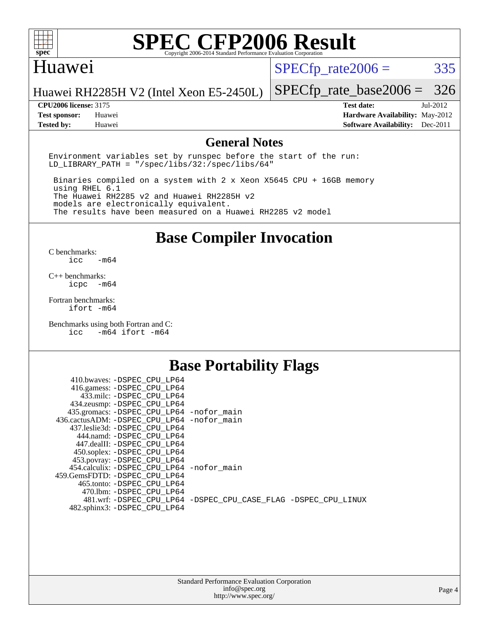

#### Huawei

 $SPECTp_rate2006 = 335$ 

Huawei RH2285H V2 (Intel Xeon E5-2450L)

#### **[CPU2006 license:](http://www.spec.org/auto/cpu2006/Docs/result-fields.html#CPU2006license)** 3175 **[Test date:](http://www.spec.org/auto/cpu2006/Docs/result-fields.html#Testdate)** Jul-2012

[SPECfp\\_rate\\_base2006 =](http://www.spec.org/auto/cpu2006/Docs/result-fields.html#SPECfpratebase2006) 326

**[Test sponsor:](http://www.spec.org/auto/cpu2006/Docs/result-fields.html#Testsponsor)** Huawei **[Hardware Availability:](http://www.spec.org/auto/cpu2006/Docs/result-fields.html#HardwareAvailability)** May-2012 **[Tested by:](http://www.spec.org/auto/cpu2006/Docs/result-fields.html#Testedby)** Huawei **[Software Availability:](http://www.spec.org/auto/cpu2006/Docs/result-fields.html#SoftwareAvailability)** Dec-2011

#### **[General Notes](http://www.spec.org/auto/cpu2006/Docs/result-fields.html#GeneralNotes)**

Environment variables set by runspec before the start of the run: LD LIBRARY PATH = "/spec/libs/32:/spec/libs/64"

 Binaries compiled on a system with 2 x Xeon X5645 CPU + 16GB memory using RHEL 6.1 The Huawei RH2285 v2 and Huawei RH2285H v2 models are electronically equivalent. The results have been measured on a Huawei RH2285 v2 model

**[Base Compiler Invocation](http://www.spec.org/auto/cpu2006/Docs/result-fields.html#BaseCompilerInvocation)**

 $C$  benchmarks:<br>icc  $-m64$ 

[C++ benchmarks:](http://www.spec.org/auto/cpu2006/Docs/result-fields.html#CXXbenchmarks) [icpc -m64](http://www.spec.org/cpu2006/results/res2014q3/cpu2006-20140628-30064.flags.html#user_CXXbase_intel_icpc_64bit_bedb90c1146cab66620883ef4f41a67e)

[Fortran benchmarks](http://www.spec.org/auto/cpu2006/Docs/result-fields.html#Fortranbenchmarks): [ifort -m64](http://www.spec.org/cpu2006/results/res2014q3/cpu2006-20140628-30064.flags.html#user_FCbase_intel_ifort_64bit_ee9d0fb25645d0210d97eb0527dcc06e)

[Benchmarks using both Fortran and C](http://www.spec.org/auto/cpu2006/Docs/result-fields.html#BenchmarksusingbothFortranandC): [icc -m64](http://www.spec.org/cpu2006/results/res2014q3/cpu2006-20140628-30064.flags.html#user_CC_FCbase_intel_icc_64bit_0b7121f5ab7cfabee23d88897260401c) [ifort -m64](http://www.spec.org/cpu2006/results/res2014q3/cpu2006-20140628-30064.flags.html#user_CC_FCbase_intel_ifort_64bit_ee9d0fb25645d0210d97eb0527dcc06e)

#### **[Base Portability Flags](http://www.spec.org/auto/cpu2006/Docs/result-fields.html#BasePortabilityFlags)**

| 410.bwaves: -DSPEC CPU LP64                 |                                                                |
|---------------------------------------------|----------------------------------------------------------------|
| 416.gamess: -DSPEC_CPU_LP64                 |                                                                |
| 433.milc: -DSPEC CPU LP64                   |                                                                |
| 434.zeusmp: -DSPEC_CPU_LP64                 |                                                                |
| 435.gromacs: -DSPEC_CPU_LP64 -nofor_main    |                                                                |
| 436.cactusADM: -DSPEC CPU LP64 -nofor main  |                                                                |
| 437.leslie3d: -DSPEC CPU LP64               |                                                                |
| 444.namd: -DSPEC CPU LP64                   |                                                                |
| 447.dealII: -DSPEC CPU LP64                 |                                                                |
| 450.soplex: -DSPEC_CPU_LP64                 |                                                                |
| 453.povray: -DSPEC_CPU_LP64                 |                                                                |
| 454.calculix: - DSPEC CPU LP64 - nofor main |                                                                |
| 459. GemsFDTD: - DSPEC CPU LP64             |                                                                |
| 465.tonto: - DSPEC CPU LP64                 |                                                                |
| 470.1bm: - DSPEC CPU LP64                   |                                                                |
|                                             | 481.wrf: -DSPEC CPU_LP64 -DSPEC_CPU_CASE_FLAG -DSPEC_CPU_LINUX |
| 482.sphinx3: -DSPEC_CPU_LP64                |                                                                |
|                                             |                                                                |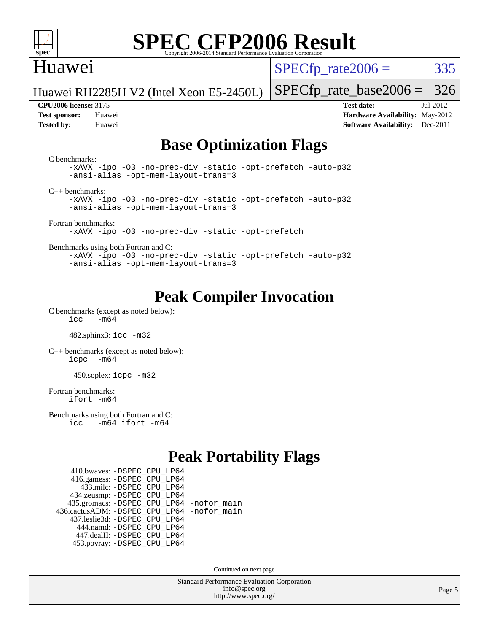

#### Huawei

 $SPECTp\_rate2006 = 335$ 

Huawei RH2285H V2 (Intel Xeon E5-2450L)

**[Test sponsor:](http://www.spec.org/auto/cpu2006/Docs/result-fields.html#Testsponsor)** Huawei **[Hardware Availability:](http://www.spec.org/auto/cpu2006/Docs/result-fields.html#HardwareAvailability)** May-2012 **[Tested by:](http://www.spec.org/auto/cpu2006/Docs/result-fields.html#Testedby)** Huawei **[Software Availability:](http://www.spec.org/auto/cpu2006/Docs/result-fields.html#SoftwareAvailability)** Dec-2011

[SPECfp\\_rate\\_base2006 =](http://www.spec.org/auto/cpu2006/Docs/result-fields.html#SPECfpratebase2006) 326 **[CPU2006 license:](http://www.spec.org/auto/cpu2006/Docs/result-fields.html#CPU2006license)** 3175 **[Test date:](http://www.spec.org/auto/cpu2006/Docs/result-fields.html#Testdate)** Jul-2012

**[Base Optimization Flags](http://www.spec.org/auto/cpu2006/Docs/result-fields.html#BaseOptimizationFlags)**

[C benchmarks](http://www.spec.org/auto/cpu2006/Docs/result-fields.html#Cbenchmarks): [-xAVX](http://www.spec.org/cpu2006/results/res2014q3/cpu2006-20140628-30064.flags.html#user_CCbase_f-xAVX) [-ipo](http://www.spec.org/cpu2006/results/res2014q3/cpu2006-20140628-30064.flags.html#user_CCbase_f-ipo) [-O3](http://www.spec.org/cpu2006/results/res2014q3/cpu2006-20140628-30064.flags.html#user_CCbase_f-O3) [-no-prec-div](http://www.spec.org/cpu2006/results/res2014q3/cpu2006-20140628-30064.flags.html#user_CCbase_f-no-prec-div) [-static](http://www.spec.org/cpu2006/results/res2014q3/cpu2006-20140628-30064.flags.html#user_CCbase_f-static) [-opt-prefetch](http://www.spec.org/cpu2006/results/res2014q3/cpu2006-20140628-30064.flags.html#user_CCbase_f-opt-prefetch) [-auto-p32](http://www.spec.org/cpu2006/results/res2014q3/cpu2006-20140628-30064.flags.html#user_CCbase_f-auto-p32) [-ansi-alias](http://www.spec.org/cpu2006/results/res2014q3/cpu2006-20140628-30064.flags.html#user_CCbase_f-ansi-alias) [-opt-mem-layout-trans=3](http://www.spec.org/cpu2006/results/res2014q3/cpu2006-20140628-30064.flags.html#user_CCbase_f-opt-mem-layout-trans_a7b82ad4bd7abf52556d4961a2ae94d5) [C++ benchmarks:](http://www.spec.org/auto/cpu2006/Docs/result-fields.html#CXXbenchmarks) [-xAVX](http://www.spec.org/cpu2006/results/res2014q3/cpu2006-20140628-30064.flags.html#user_CXXbase_f-xAVX) [-ipo](http://www.spec.org/cpu2006/results/res2014q3/cpu2006-20140628-30064.flags.html#user_CXXbase_f-ipo) [-O3](http://www.spec.org/cpu2006/results/res2014q3/cpu2006-20140628-30064.flags.html#user_CXXbase_f-O3) [-no-prec-div](http://www.spec.org/cpu2006/results/res2014q3/cpu2006-20140628-30064.flags.html#user_CXXbase_f-no-prec-div) [-static](http://www.spec.org/cpu2006/results/res2014q3/cpu2006-20140628-30064.flags.html#user_CXXbase_f-static) [-opt-prefetch](http://www.spec.org/cpu2006/results/res2014q3/cpu2006-20140628-30064.flags.html#user_CXXbase_f-opt-prefetch) [-auto-p32](http://www.spec.org/cpu2006/results/res2014q3/cpu2006-20140628-30064.flags.html#user_CXXbase_f-auto-p32) [-ansi-alias](http://www.spec.org/cpu2006/results/res2014q3/cpu2006-20140628-30064.flags.html#user_CXXbase_f-ansi-alias) [-opt-mem-layout-trans=3](http://www.spec.org/cpu2006/results/res2014q3/cpu2006-20140628-30064.flags.html#user_CXXbase_f-opt-mem-layout-trans_a7b82ad4bd7abf52556d4961a2ae94d5) [Fortran benchmarks](http://www.spec.org/auto/cpu2006/Docs/result-fields.html#Fortranbenchmarks): [-xAVX](http://www.spec.org/cpu2006/results/res2014q3/cpu2006-20140628-30064.flags.html#user_FCbase_f-xAVX) [-ipo](http://www.spec.org/cpu2006/results/res2014q3/cpu2006-20140628-30064.flags.html#user_FCbase_f-ipo) [-O3](http://www.spec.org/cpu2006/results/res2014q3/cpu2006-20140628-30064.flags.html#user_FCbase_f-O3) [-no-prec-div](http://www.spec.org/cpu2006/results/res2014q3/cpu2006-20140628-30064.flags.html#user_FCbase_f-no-prec-div) [-static](http://www.spec.org/cpu2006/results/res2014q3/cpu2006-20140628-30064.flags.html#user_FCbase_f-static) [-opt-prefetch](http://www.spec.org/cpu2006/results/res2014q3/cpu2006-20140628-30064.flags.html#user_FCbase_f-opt-prefetch) [Benchmarks using both Fortran and C](http://www.spec.org/auto/cpu2006/Docs/result-fields.html#BenchmarksusingbothFortranandC): [-xAVX](http://www.spec.org/cpu2006/results/res2014q3/cpu2006-20140628-30064.flags.html#user_CC_FCbase_f-xAVX) [-ipo](http://www.spec.org/cpu2006/results/res2014q3/cpu2006-20140628-30064.flags.html#user_CC_FCbase_f-ipo) [-O3](http://www.spec.org/cpu2006/results/res2014q3/cpu2006-20140628-30064.flags.html#user_CC_FCbase_f-O3) [-no-prec-div](http://www.spec.org/cpu2006/results/res2014q3/cpu2006-20140628-30064.flags.html#user_CC_FCbase_f-no-prec-div) [-static](http://www.spec.org/cpu2006/results/res2014q3/cpu2006-20140628-30064.flags.html#user_CC_FCbase_f-static) [-opt-prefetch](http://www.spec.org/cpu2006/results/res2014q3/cpu2006-20140628-30064.flags.html#user_CC_FCbase_f-opt-prefetch) [-auto-p32](http://www.spec.org/cpu2006/results/res2014q3/cpu2006-20140628-30064.flags.html#user_CC_FCbase_f-auto-p32) [-ansi-alias](http://www.spec.org/cpu2006/results/res2014q3/cpu2006-20140628-30064.flags.html#user_CC_FCbase_f-ansi-alias) [-opt-mem-layout-trans=3](http://www.spec.org/cpu2006/results/res2014q3/cpu2006-20140628-30064.flags.html#user_CC_FCbase_f-opt-mem-layout-trans_a7b82ad4bd7abf52556d4961a2ae94d5)

### **[Peak Compiler Invocation](http://www.spec.org/auto/cpu2006/Docs/result-fields.html#PeakCompilerInvocation)**

[C benchmarks \(except as noted below\)](http://www.spec.org/auto/cpu2006/Docs/result-fields.html#Cbenchmarksexceptasnotedbelow):  $\text{icc}$  -m64

482.sphinx3: [icc -m32](http://www.spec.org/cpu2006/results/res2014q3/cpu2006-20140628-30064.flags.html#user_peakCCLD482_sphinx3_intel_icc_a6a621f8d50482236b970c6ac5f55f93)

[C++ benchmarks \(except as noted below\):](http://www.spec.org/auto/cpu2006/Docs/result-fields.html#CXXbenchmarksexceptasnotedbelow) [icpc -m64](http://www.spec.org/cpu2006/results/res2014q3/cpu2006-20140628-30064.flags.html#user_CXXpeak_intel_icpc_64bit_bedb90c1146cab66620883ef4f41a67e)

450.soplex: [icpc -m32](http://www.spec.org/cpu2006/results/res2014q3/cpu2006-20140628-30064.flags.html#user_peakCXXLD450_soplex_intel_icpc_4e5a5ef1a53fd332b3c49e69c3330699)

[Fortran benchmarks](http://www.spec.org/auto/cpu2006/Docs/result-fields.html#Fortranbenchmarks): [ifort -m64](http://www.spec.org/cpu2006/results/res2014q3/cpu2006-20140628-30064.flags.html#user_FCpeak_intel_ifort_64bit_ee9d0fb25645d0210d97eb0527dcc06e)

[Benchmarks using both Fortran and C](http://www.spec.org/auto/cpu2006/Docs/result-fields.html#BenchmarksusingbothFortranandC): [icc -m64](http://www.spec.org/cpu2006/results/res2014q3/cpu2006-20140628-30064.flags.html#user_CC_FCpeak_intel_icc_64bit_0b7121f5ab7cfabee23d88897260401c) [ifort -m64](http://www.spec.org/cpu2006/results/res2014q3/cpu2006-20140628-30064.flags.html#user_CC_FCpeak_intel_ifort_64bit_ee9d0fb25645d0210d97eb0527dcc06e)

### **[Peak Portability Flags](http://www.spec.org/auto/cpu2006/Docs/result-fields.html#PeakPortabilityFlags)**

 410.bwaves: [-DSPEC\\_CPU\\_LP64](http://www.spec.org/cpu2006/results/res2014q3/cpu2006-20140628-30064.flags.html#suite_peakPORTABILITY410_bwaves_DSPEC_CPU_LP64) 416.gamess: [-DSPEC\\_CPU\\_LP64](http://www.spec.org/cpu2006/results/res2014q3/cpu2006-20140628-30064.flags.html#suite_peakPORTABILITY416_gamess_DSPEC_CPU_LP64) 433.milc: [-DSPEC\\_CPU\\_LP64](http://www.spec.org/cpu2006/results/res2014q3/cpu2006-20140628-30064.flags.html#suite_peakPORTABILITY433_milc_DSPEC_CPU_LP64) 434.zeusmp: [-DSPEC\\_CPU\\_LP64](http://www.spec.org/cpu2006/results/res2014q3/cpu2006-20140628-30064.flags.html#suite_peakPORTABILITY434_zeusmp_DSPEC_CPU_LP64) 435.gromacs: [-DSPEC\\_CPU\\_LP64](http://www.spec.org/cpu2006/results/res2014q3/cpu2006-20140628-30064.flags.html#suite_peakPORTABILITY435_gromacs_DSPEC_CPU_LP64) [-nofor\\_main](http://www.spec.org/cpu2006/results/res2014q3/cpu2006-20140628-30064.flags.html#user_peakLDPORTABILITY435_gromacs_f-nofor_main) 436.cactusADM: [-DSPEC\\_CPU\\_LP64](http://www.spec.org/cpu2006/results/res2014q3/cpu2006-20140628-30064.flags.html#suite_peakPORTABILITY436_cactusADM_DSPEC_CPU_LP64) [-nofor\\_main](http://www.spec.org/cpu2006/results/res2014q3/cpu2006-20140628-30064.flags.html#user_peakLDPORTABILITY436_cactusADM_f-nofor_main) 437.leslie3d: [-DSPEC\\_CPU\\_LP64](http://www.spec.org/cpu2006/results/res2014q3/cpu2006-20140628-30064.flags.html#suite_peakPORTABILITY437_leslie3d_DSPEC_CPU_LP64) 444.namd: [-DSPEC\\_CPU\\_LP64](http://www.spec.org/cpu2006/results/res2014q3/cpu2006-20140628-30064.flags.html#suite_peakPORTABILITY444_namd_DSPEC_CPU_LP64) 447.dealII: [-DSPEC\\_CPU\\_LP64](http://www.spec.org/cpu2006/results/res2014q3/cpu2006-20140628-30064.flags.html#suite_peakPORTABILITY447_dealII_DSPEC_CPU_LP64) 453.povray: [-DSPEC\\_CPU\\_LP64](http://www.spec.org/cpu2006/results/res2014q3/cpu2006-20140628-30064.flags.html#suite_peakPORTABILITY453_povray_DSPEC_CPU_LP64)

Continued on next page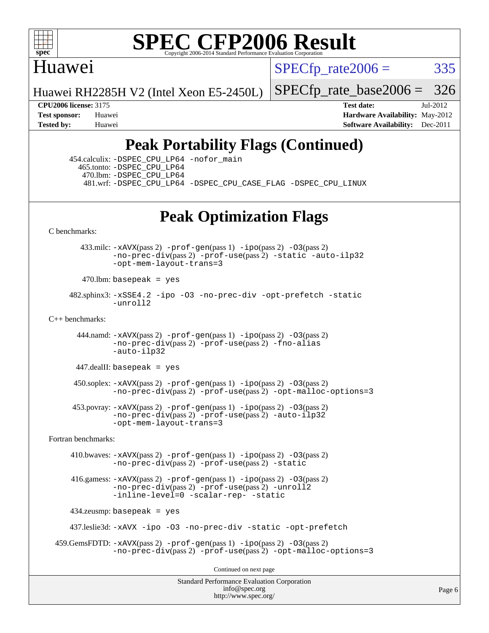

#### Huawei

 $SPECTp\_rate2006 = 335$ 

Huawei RH2285H V2 (Intel Xeon E5-2450L)

[SPECfp\\_rate\\_base2006 =](http://www.spec.org/auto/cpu2006/Docs/result-fields.html#SPECfpratebase2006) 326

**[CPU2006 license:](http://www.spec.org/auto/cpu2006/Docs/result-fields.html#CPU2006license)** 3175 **[Test date:](http://www.spec.org/auto/cpu2006/Docs/result-fields.html#Testdate)** Jul-2012 **[Test sponsor:](http://www.spec.org/auto/cpu2006/Docs/result-fields.html#Testsponsor)** Huawei **[Hardware Availability:](http://www.spec.org/auto/cpu2006/Docs/result-fields.html#HardwareAvailability)** May-2012 **[Tested by:](http://www.spec.org/auto/cpu2006/Docs/result-fields.html#Testedby)** Huawei **[Software Availability:](http://www.spec.org/auto/cpu2006/Docs/result-fields.html#SoftwareAvailability)** Dec-2011

### **[Peak Portability Flags \(Continued\)](http://www.spec.org/auto/cpu2006/Docs/result-fields.html#PeakPortabilityFlags)**

 454.calculix: [-DSPEC\\_CPU\\_LP64](http://www.spec.org/cpu2006/results/res2014q3/cpu2006-20140628-30064.flags.html#suite_peakPORTABILITY454_calculix_DSPEC_CPU_LP64) [-nofor\\_main](http://www.spec.org/cpu2006/results/res2014q3/cpu2006-20140628-30064.flags.html#user_peakLDPORTABILITY454_calculix_f-nofor_main) 465.tonto: [-DSPEC\\_CPU\\_LP64](http://www.spec.org/cpu2006/results/res2014q3/cpu2006-20140628-30064.flags.html#suite_peakPORTABILITY465_tonto_DSPEC_CPU_LP64) 470.lbm: [-DSPEC\\_CPU\\_LP64](http://www.spec.org/cpu2006/results/res2014q3/cpu2006-20140628-30064.flags.html#suite_peakPORTABILITY470_lbm_DSPEC_CPU_LP64) 481.wrf: [-DSPEC\\_CPU\\_LP64](http://www.spec.org/cpu2006/results/res2014q3/cpu2006-20140628-30064.flags.html#suite_peakPORTABILITY481_wrf_DSPEC_CPU_LP64) [-DSPEC\\_CPU\\_CASE\\_FLAG](http://www.spec.org/cpu2006/results/res2014q3/cpu2006-20140628-30064.flags.html#b481.wrf_peakCPORTABILITY_DSPEC_CPU_CASE_FLAG) [-DSPEC\\_CPU\\_LINUX](http://www.spec.org/cpu2006/results/res2014q3/cpu2006-20140628-30064.flags.html#b481.wrf_peakCPORTABILITY_DSPEC_CPU_LINUX)

### **[Peak Optimization Flags](http://www.spec.org/auto/cpu2006/Docs/result-fields.html#PeakOptimizationFlags)**

[C benchmarks](http://www.spec.org/auto/cpu2006/Docs/result-fields.html#Cbenchmarks):

 433.milc: [-xAVX](http://www.spec.org/cpu2006/results/res2014q3/cpu2006-20140628-30064.flags.html#user_peakPASS2_CFLAGSPASS2_LDFLAGS433_milc_f-xAVX)(pass 2) [-prof-gen](http://www.spec.org/cpu2006/results/res2014q3/cpu2006-20140628-30064.flags.html#user_peakPASS1_CFLAGSPASS1_LDFLAGS433_milc_prof_gen_e43856698f6ca7b7e442dfd80e94a8fc)(pass 1) [-ipo](http://www.spec.org/cpu2006/results/res2014q3/cpu2006-20140628-30064.flags.html#user_peakPASS2_CFLAGSPASS2_LDFLAGS433_milc_f-ipo)(pass 2) [-O3](http://www.spec.org/cpu2006/results/res2014q3/cpu2006-20140628-30064.flags.html#user_peakPASS2_CFLAGSPASS2_LDFLAGS433_milc_f-O3)(pass 2) [-no-prec-div](http://www.spec.org/cpu2006/results/res2014q3/cpu2006-20140628-30064.flags.html#user_peakPASS2_CFLAGSPASS2_LDFLAGS433_milc_f-no-prec-div)(pass 2) [-prof-use](http://www.spec.org/cpu2006/results/res2014q3/cpu2006-20140628-30064.flags.html#user_peakPASS2_CFLAGSPASS2_LDFLAGS433_milc_prof_use_bccf7792157ff70d64e32fe3e1250b55)(pass 2) [-static](http://www.spec.org/cpu2006/results/res2014q3/cpu2006-20140628-30064.flags.html#user_peakOPTIMIZE433_milc_f-static) [-auto-ilp32](http://www.spec.org/cpu2006/results/res2014q3/cpu2006-20140628-30064.flags.html#user_peakCOPTIMIZE433_milc_f-auto-ilp32) [-opt-mem-layout-trans=3](http://www.spec.org/cpu2006/results/res2014q3/cpu2006-20140628-30064.flags.html#user_peakCOPTIMIZE433_milc_f-opt-mem-layout-trans_a7b82ad4bd7abf52556d4961a2ae94d5)

 $470$ .lbm: basepeak = yes

 482.sphinx3: [-xSSE4.2](http://www.spec.org/cpu2006/results/res2014q3/cpu2006-20140628-30064.flags.html#user_peakOPTIMIZE482_sphinx3_f-xSSE42_f91528193cf0b216347adb8b939d4107) [-ipo](http://www.spec.org/cpu2006/results/res2014q3/cpu2006-20140628-30064.flags.html#user_peakOPTIMIZE482_sphinx3_f-ipo) [-O3](http://www.spec.org/cpu2006/results/res2014q3/cpu2006-20140628-30064.flags.html#user_peakOPTIMIZE482_sphinx3_f-O3) [-no-prec-div](http://www.spec.org/cpu2006/results/res2014q3/cpu2006-20140628-30064.flags.html#user_peakOPTIMIZE482_sphinx3_f-no-prec-div) [-opt-prefetch](http://www.spec.org/cpu2006/results/res2014q3/cpu2006-20140628-30064.flags.html#user_peakOPTIMIZE482_sphinx3_f-opt-prefetch) [-static](http://www.spec.org/cpu2006/results/res2014q3/cpu2006-20140628-30064.flags.html#user_peakOPTIMIZE482_sphinx3_f-static) [-unroll2](http://www.spec.org/cpu2006/results/res2014q3/cpu2006-20140628-30064.flags.html#user_peakCOPTIMIZE482_sphinx3_f-unroll_784dae83bebfb236979b41d2422d7ec2)

 $C_{++}$  benchmarks:

444.namd:  $-xAVX(pass 2)$  $-xAVX(pass 2)$  [-prof-gen](http://www.spec.org/cpu2006/results/res2014q3/cpu2006-20140628-30064.flags.html#user_peakPASS1_CXXFLAGSPASS1_LDFLAGS444_namd_prof_gen_e43856698f6ca7b7e442dfd80e94a8fc)(pass 1) [-ipo](http://www.spec.org/cpu2006/results/res2014q3/cpu2006-20140628-30064.flags.html#user_peakPASS2_CXXFLAGSPASS2_LDFLAGS444_namd_f-ipo)(pass 2) [-O3](http://www.spec.org/cpu2006/results/res2014q3/cpu2006-20140628-30064.flags.html#user_peakPASS2_CXXFLAGSPASS2_LDFLAGS444_namd_f-O3)(pass 2) [-no-prec-div](http://www.spec.org/cpu2006/results/res2014q3/cpu2006-20140628-30064.flags.html#user_peakPASS2_CXXFLAGSPASS2_LDFLAGS444_namd_f-no-prec-div)(pass 2) [-prof-use](http://www.spec.org/cpu2006/results/res2014q3/cpu2006-20140628-30064.flags.html#user_peakPASS2_CXXFLAGSPASS2_LDFLAGS444_namd_prof_use_bccf7792157ff70d64e32fe3e1250b55)(pass 2) [-fno-alias](http://www.spec.org/cpu2006/results/res2014q3/cpu2006-20140628-30064.flags.html#user_peakCXXOPTIMIZE444_namd_f-no-alias_694e77f6c5a51e658e82ccff53a9e63a) [-auto-ilp32](http://www.spec.org/cpu2006/results/res2014q3/cpu2006-20140628-30064.flags.html#user_peakCXXOPTIMIZE444_namd_f-auto-ilp32)

 $447$ .dealII: basepeak = yes

 $450$ .soplex:  $-x$ AVX(pass 2)  $-p$ rof-gen(pass 1)  $-i$ po(pass 2)  $-03$ (pass 2) [-no-prec-div](http://www.spec.org/cpu2006/results/res2014q3/cpu2006-20140628-30064.flags.html#user_peakPASS2_CXXFLAGSPASS2_LDFLAGS450_soplex_f-no-prec-div)(pass 2) [-prof-use](http://www.spec.org/cpu2006/results/res2014q3/cpu2006-20140628-30064.flags.html#user_peakPASS2_CXXFLAGSPASS2_LDFLAGS450_soplex_prof_use_bccf7792157ff70d64e32fe3e1250b55)(pass 2) [-opt-malloc-options=3](http://www.spec.org/cpu2006/results/res2014q3/cpu2006-20140628-30064.flags.html#user_peakOPTIMIZE450_soplex_f-opt-malloc-options_13ab9b803cf986b4ee62f0a5998c2238)

 453.povray: [-xAVX](http://www.spec.org/cpu2006/results/res2014q3/cpu2006-20140628-30064.flags.html#user_peakPASS2_CXXFLAGSPASS2_LDFLAGS453_povray_f-xAVX)(pass 2) [-prof-gen](http://www.spec.org/cpu2006/results/res2014q3/cpu2006-20140628-30064.flags.html#user_peakPASS1_CXXFLAGSPASS1_LDFLAGS453_povray_prof_gen_e43856698f6ca7b7e442dfd80e94a8fc)(pass 1) [-ipo](http://www.spec.org/cpu2006/results/res2014q3/cpu2006-20140628-30064.flags.html#user_peakPASS2_CXXFLAGSPASS2_LDFLAGS453_povray_f-ipo)(pass 2) [-O3](http://www.spec.org/cpu2006/results/res2014q3/cpu2006-20140628-30064.flags.html#user_peakPASS2_CXXFLAGSPASS2_LDFLAGS453_povray_f-O3)(pass 2) [-no-prec-div](http://www.spec.org/cpu2006/results/res2014q3/cpu2006-20140628-30064.flags.html#user_peakPASS2_CXXFLAGSPASS2_LDFLAGS453_povray_f-no-prec-div)(pass 2) [-prof-use](http://www.spec.org/cpu2006/results/res2014q3/cpu2006-20140628-30064.flags.html#user_peakPASS2_CXXFLAGSPASS2_LDFLAGS453_povray_prof_use_bccf7792157ff70d64e32fe3e1250b55)(pass 2) [-auto-ilp32](http://www.spec.org/cpu2006/results/res2014q3/cpu2006-20140628-30064.flags.html#user_peakCXXOPTIMIZE453_povray_f-auto-ilp32) [-opt-mem-layout-trans=3](http://www.spec.org/cpu2006/results/res2014q3/cpu2006-20140628-30064.flags.html#user_peakCXXOPTIMIZE453_povray_f-opt-mem-layout-trans_a7b82ad4bd7abf52556d4961a2ae94d5)

[Fortran benchmarks](http://www.spec.org/auto/cpu2006/Docs/result-fields.html#Fortranbenchmarks):

 410.bwaves: [-xAVX](http://www.spec.org/cpu2006/results/res2014q3/cpu2006-20140628-30064.flags.html#user_peakPASS2_FFLAGSPASS2_LDFLAGS410_bwaves_f-xAVX)(pass 2) [-prof-gen](http://www.spec.org/cpu2006/results/res2014q3/cpu2006-20140628-30064.flags.html#user_peakPASS1_FFLAGSPASS1_LDFLAGS410_bwaves_prof_gen_e43856698f6ca7b7e442dfd80e94a8fc)(pass 1) [-ipo](http://www.spec.org/cpu2006/results/res2014q3/cpu2006-20140628-30064.flags.html#user_peakPASS2_FFLAGSPASS2_LDFLAGS410_bwaves_f-ipo)(pass 2) [-O3](http://www.spec.org/cpu2006/results/res2014q3/cpu2006-20140628-30064.flags.html#user_peakPASS2_FFLAGSPASS2_LDFLAGS410_bwaves_f-O3)(pass 2) [-no-prec-div](http://www.spec.org/cpu2006/results/res2014q3/cpu2006-20140628-30064.flags.html#user_peakPASS2_FFLAGSPASS2_LDFLAGS410_bwaves_f-no-prec-div)(pass 2) [-prof-use](http://www.spec.org/cpu2006/results/res2014q3/cpu2006-20140628-30064.flags.html#user_peakPASS2_FFLAGSPASS2_LDFLAGS410_bwaves_prof_use_bccf7792157ff70d64e32fe3e1250b55)(pass 2) [-static](http://www.spec.org/cpu2006/results/res2014q3/cpu2006-20140628-30064.flags.html#user_peakOPTIMIZE410_bwaves_f-static)

 416.gamess: [-xAVX](http://www.spec.org/cpu2006/results/res2014q3/cpu2006-20140628-30064.flags.html#user_peakPASS2_FFLAGSPASS2_LDFLAGS416_gamess_f-xAVX)(pass 2) [-prof-gen](http://www.spec.org/cpu2006/results/res2014q3/cpu2006-20140628-30064.flags.html#user_peakPASS1_FFLAGSPASS1_LDFLAGS416_gamess_prof_gen_e43856698f6ca7b7e442dfd80e94a8fc)(pass 1) [-ipo](http://www.spec.org/cpu2006/results/res2014q3/cpu2006-20140628-30064.flags.html#user_peakPASS2_FFLAGSPASS2_LDFLAGS416_gamess_f-ipo)(pass 2) [-O3](http://www.spec.org/cpu2006/results/res2014q3/cpu2006-20140628-30064.flags.html#user_peakPASS2_FFLAGSPASS2_LDFLAGS416_gamess_f-O3)(pass 2) [-no-prec-div](http://www.spec.org/cpu2006/results/res2014q3/cpu2006-20140628-30064.flags.html#user_peakPASS2_FFLAGSPASS2_LDFLAGS416_gamess_f-no-prec-div)(pass 2) [-prof-use](http://www.spec.org/cpu2006/results/res2014q3/cpu2006-20140628-30064.flags.html#user_peakPASS2_FFLAGSPASS2_LDFLAGS416_gamess_prof_use_bccf7792157ff70d64e32fe3e1250b55)(pass 2) [-unroll2](http://www.spec.org/cpu2006/results/res2014q3/cpu2006-20140628-30064.flags.html#user_peakOPTIMIZE416_gamess_f-unroll_784dae83bebfb236979b41d2422d7ec2) [-inline-level=0](http://www.spec.org/cpu2006/results/res2014q3/cpu2006-20140628-30064.flags.html#user_peakOPTIMIZE416_gamess_f-inline-level_318d07a09274ad25e8d15dbfaa68ba50) [-scalar-rep-](http://www.spec.org/cpu2006/results/res2014q3/cpu2006-20140628-30064.flags.html#user_peakOPTIMIZE416_gamess_f-disablescalarrep_abbcad04450fb118e4809c81d83c8a1d) [-static](http://www.spec.org/cpu2006/results/res2014q3/cpu2006-20140628-30064.flags.html#user_peakOPTIMIZE416_gamess_f-static)

434.zeusmp: basepeak = yes

437.leslie3d: [-xAVX](http://www.spec.org/cpu2006/results/res2014q3/cpu2006-20140628-30064.flags.html#user_peakOPTIMIZE437_leslie3d_f-xAVX) [-ipo](http://www.spec.org/cpu2006/results/res2014q3/cpu2006-20140628-30064.flags.html#user_peakOPTIMIZE437_leslie3d_f-ipo) [-O3](http://www.spec.org/cpu2006/results/res2014q3/cpu2006-20140628-30064.flags.html#user_peakOPTIMIZE437_leslie3d_f-O3) [-no-prec-div](http://www.spec.org/cpu2006/results/res2014q3/cpu2006-20140628-30064.flags.html#user_peakOPTIMIZE437_leslie3d_f-no-prec-div) [-static](http://www.spec.org/cpu2006/results/res2014q3/cpu2006-20140628-30064.flags.html#user_peakOPTIMIZE437_leslie3d_f-static) [-opt-prefetch](http://www.spec.org/cpu2006/results/res2014q3/cpu2006-20140628-30064.flags.html#user_peakOPTIMIZE437_leslie3d_f-opt-prefetch)

```
 459.GemsFDTD: -xAVX(pass 2) -prof-gen(pass 1) -ipo(pass 2) -O3(pass 2)
              -no-prec-div(pass 2) -prof-use(pass 2) -opt-malloc-options=3
```
Continued on next page